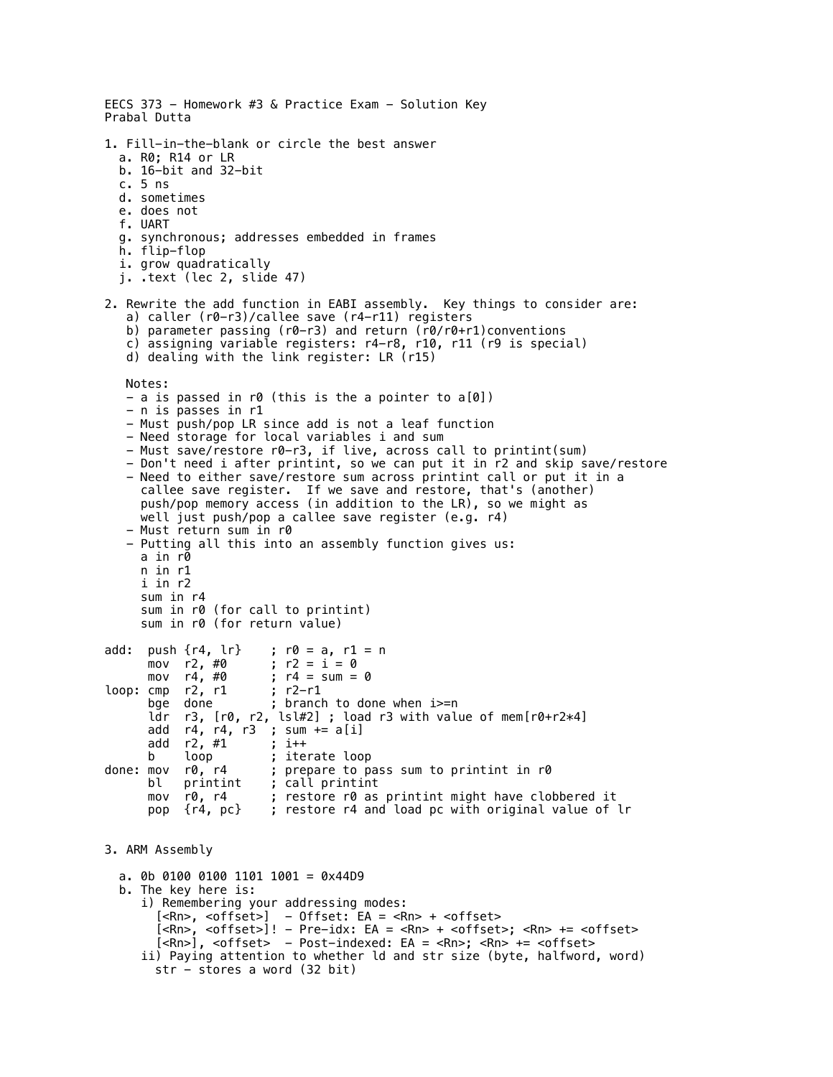```
EECS 373 - Homework #3 & Practice Exam - Solution Key
Prabal Dutta
1. Fill-in-the-blank or circle the best answer
   a. R0; R14 or LR
   b. 16-bit and 32-bit
   c. 5 ns
   d. sometimes
   e. does not
   f. UART
   g. synchronous; addresses embedded in frames
   h. flip-flop
   i. grow quadratically
   j. .text (lec 2, slide 47)
2. Rewrite the add function in EABI assembly. Key things to consider are:
    a) caller (r0-r3)/callee save (r4-r11) registers
   b) parameter passing (r0-r3) and return (r0/r0+r1)conventions
    c) assigning variable registers: r4-r8, r10, r11 (r9 is special)
    d) dealing with the link register: LR (r15)
    Notes:
    - a is passed in r0 (this is the a pointer to a[0])
    - n is passes in r1
    - Must push/pop LR since add is not a leaf function
    - Need storage for local variables i and sum
    - Must save/restore r0-r3, if live, across call to printint(sum)
    - Don't need i after printint, so we can put it in r2 and skip save/restore
    - Need to either save/restore sum across printint call or put it in a 
      callee save register. If we save and restore, that's (another) 
      push/pop memory access (in addition to the LR), so we might as 
      well just push/pop a callee save register (e.g. r4)
    - Must return sum in r0
    - Putting all this into an assembly function gives us:
      a in r0
      n in r1
      i in r2
      sum in r4
      sum in r0 (for call to printint)
      sum in r0 (for return value)
add: push \{r4, 1r\} ; r0 = a, r1 = n<br>mov r2, #0 ; r2 = i = 0mov r2, #0 ; r2 = i = 0<br>mov r4, #0 ; r4 = sum =
                        ; r4 = \text{sum} = 0<br>; r2 - r1loop: cmp r2, r1bge done ; branch to done when i>=n
 ldr r3, [r0, r2, lsl#2] ; load r3 with value of mem[r0+r2*4]
 add r4, r4, r3 ; sum += a[i]
      add r2, #1     ; i++<br>b   loop       ; ite
       b loop ; iterate loop
done: mov r0, r4 ; prepare to pass sum to printint in r0<br>bl printint ; call printint
                       ; call printint
      mov r0, r4 ; restore r0 as printint might have clobbered it
       pop {r4, pc} ; restore r4 and load pc with original value of lr
3. ARM Assembly
   a. 0b 0100 0100 1101 1001 = 0x44D9
   b. The key here is:
      i) Remembering your addressing modes:
       [<\!\Rn>\, , \ <offset> ] - 0ffset: EA = <Rn> + <offset> [<Rn>, <offset>]! - Pre-idx: EA = <Rn> + <offset>; <Rn> += <offset>
        [<Rn>], <offset> - Post-indexed: EA = <Rn>; <Rn> += <offset>
      ii) Paying attention to whether ld and str size (byte, halfword, word)
       str - stores a word (32 bit)
```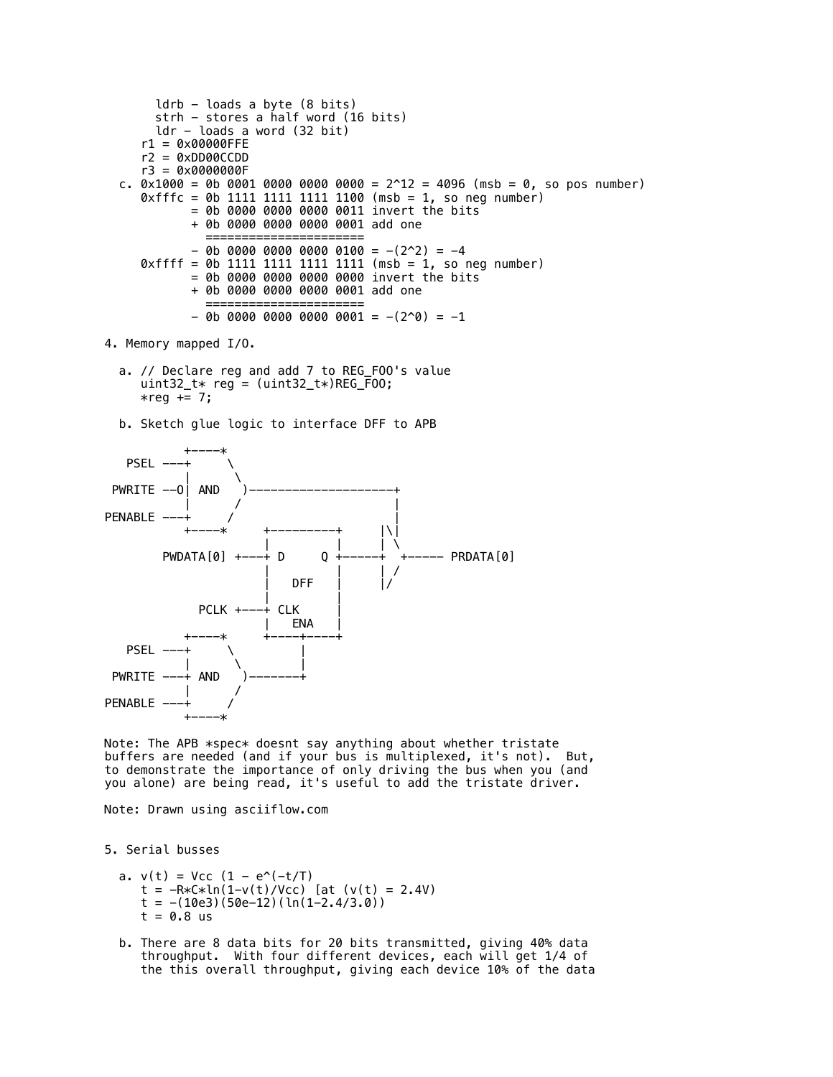```
ldrb - loads a byte (8 bits) strh - stores a half word (16 bits)
       ldr - loads a word (32 bit)
     r1 = 0x00000FFE
     r2 = 0xDD00CCDD
     r3 = 0x0000000F
 c. 0 \times 1000 = 0b 0001 0000 0000 0000 = 2^12 = 4096 (msb = 0, so pos number)
    0xfffc = 0b 1111 1111 1111 1100 (msb = 1, so neg number)
            = 0b 0000 0000 0000 0011 invert the bits
             + 0b 0000 0000 0000 0001 add one
=======================
            - 0b 0000 0000 0000 0100 = -(2^2) = -40xffff = 0b 1111 1111 1111 1111 (msb = 1, so neg number)
            = 0b 0000 0000 0000 0000 invert the bits
             + 0b 0000 0000 0000 0001 add one
              ======================
            - 0b 0000 0000 0000 0000 = -(2^0) = -1
```
4. Memory mapped I/O.

- a. // Declare reg and add 7 to REG\_FOO's value uint32\_t $*$  reg = (uint32\_t $*$ )REG\_F00;  $*reg += 7;$
- b. Sketch glue logic to interface DFF to APB



Note: The APB \*spec\* doesnt say anything about whether tristate buffers are needed (and if your bus is multiplexed, it's not). But, to demonstrate the importance of only driving the bus when you (and you alone) are being read, it's useful to add the tristate driver.

Note: Drawn using asciiflow.com

5. Serial busses

```
a. v(t) = Vcc (1 - e^{\lambda}(-t/T))t = -R*C*ln(1-v(t)/Vcc) [at (v(t) = 2.4V)t = -(10e3)(50e-12)(ln(1-2.4/3.0))t = 0.8 us
```
 b. There are 8 data bits for 20 bits transmitted, giving 40% data throughput. With four different devices, each will get 1/4 of the this overall throughput, giving each device 10% of the data